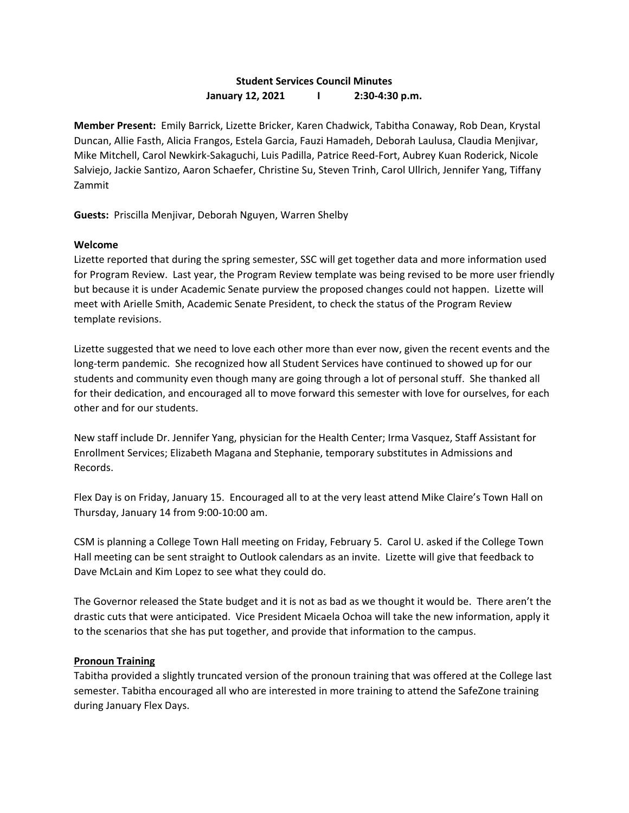## **Student Services Council Minutes January 12, 2021 I 2:30-4:30 p.m.**

**Member Present:** Emily Barrick, Lizette Bricker, Karen Chadwick, Tabitha Conaway, Rob Dean, Krystal Duncan, Allie Fasth, Alicia Frangos, Estela Garcia, Fauzi Hamadeh, Deborah Laulusa, Claudia Menjivar, Mike Mitchell, Carol Newkirk-Sakaguchi, Luis Padilla, Patrice Reed-Fort, Aubrey Kuan Roderick, Nicole Salviejo, Jackie Santizo, Aaron Schaefer, Christine Su, Steven Trinh, Carol Ullrich, Jennifer Yang, Tiffany Zammit

**Guests:** Priscilla Menjivar, Deborah Nguyen, Warren Shelby

## **Welcome**

Lizette reported that during the spring semester, SSC will get together data and more information used for Program Review. Last year, the Program Review template was being revised to be more user friendly but because it is under Academic Senate purview the proposed changes could not happen. Lizette will meet with Arielle Smith, Academic Senate President, to check the status of the Program Review template revisions.

Lizette suggested that we need to love each other more than ever now, given the recent events and the long-term pandemic. She recognized how all Student Services have continued to showed up for our students and community even though many are going through a lot of personal stuff. She thanked all for their dedication, and encouraged all to move forward this semester with love for ourselves, for each other and for our students.

New staff include Dr. Jennifer Yang, physician for the Health Center; Irma Vasquez, Staff Assistant for Enrollment Services; Elizabeth Magana and Stephanie, temporary substitutes in Admissions and Records.

Flex Day is on Friday, January 15. Encouraged all to at the very least attend Mike Claire's Town Hall on Thursday, January 14 from 9:00-10:00 am.

CSM is planning a College Town Hall meeting on Friday, February 5. Carol U. asked if the College Town Hall meeting can be sent straight to Outlook calendars as an invite. Lizette will give that feedback to Dave McLain and Kim Lopez to see what they could do.

The Governor released the State budget and it is not as bad as we thought it would be. There aren't the drastic cuts that were anticipated. Vice President Micaela Ochoa will take the new information, apply it to the scenarios that she has put together, and provide that information to the campus.

## **Pronoun Training**

Tabitha provided a slightly truncated version of the pronoun training that was offered at the College last semester. Tabitha encouraged all who are interested in more training to attend the SafeZone training during January Flex Days.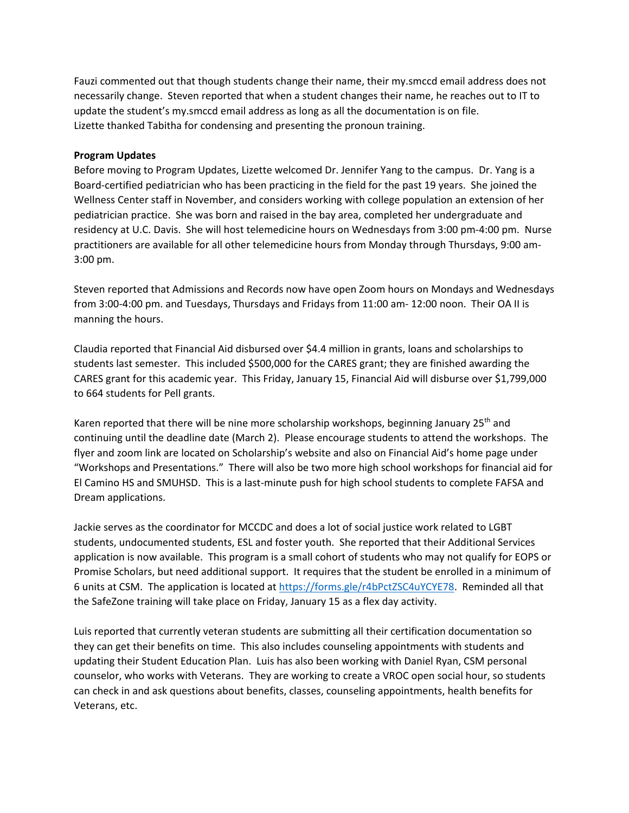Fauzi commented out that though students change their name, their my.smccd email address does not necessarily change. Steven reported that when a student changes their name, he reaches out to IT to update the student's my.smccd email address as long as all the documentation is on file. Lizette thanked Tabitha for condensing and presenting the pronoun training.

## **Program Updates**

Before moving to Program Updates, Lizette welcomed Dr. Jennifer Yang to the campus. Dr. Yang is a Board-certified pediatrician who has been practicing in the field for the past 19 years. She joined the Wellness Center staff in November, and considers working with college population an extension of her pediatrician practice. She was born and raised in the bay area, completed her undergraduate and residency at U.C. Davis. She will host telemedicine hours on Wednesdays from 3:00 pm-4:00 pm. Nurse practitioners are available for all other telemedicine hours from Monday through Thursdays, 9:00 am-3:00 pm.

Steven reported that Admissions and Records now have open Zoom hours on Mondays and Wednesdays from 3:00-4:00 pm. and Tuesdays, Thursdays and Fridays from 11:00 am- 12:00 noon. Their OA II is manning the hours.

Claudia reported that Financial Aid disbursed over \$4.4 million in grants, loans and scholarships to students last semester. This included \$500,000 for the CARES grant; they are finished awarding the CARES grant for this academic year. This Friday, January 15, Financial Aid will disburse over \$1,799,000 to 664 students for Pell grants.

Karen reported that there will be nine more scholarship workshops, beginning January  $25<sup>th</sup>$  and continuing until the deadline date (March 2). Please encourage students to attend the workshops. The flyer and zoom link are located on Scholarship's website and also on Financial Aid's home page under "Workshops and Presentations." There will also be two more high school workshops for financial aid for El Camino HS and SMUHSD. This is a last-minute push for high school students to complete FAFSA and Dream applications.

Jackie serves as the coordinator for MCCDC and does a lot of social justice work related to LGBT students, undocumented students, ESL and foster youth. She reported that their Additional Services application is now available. This program is a small cohort of students who may not qualify for EOPS or Promise Scholars, but need additional support. It requires that the student be enrolled in a minimum of 6 units at CSM. The application is located a[t https://forms.gle/r4bPctZSC4uYCYE78.](https://forms.gle/r4bPctZSC4uYCYE78) Reminded all that the SafeZone training will take place on Friday, January 15 as a flex day activity.

Luis reported that currently veteran students are submitting all their certification documentation so they can get their benefits on time. This also includes counseling appointments with students and updating their Student Education Plan. Luis has also been working with Daniel Ryan, CSM personal counselor, who works with Veterans. They are working to create a VROC open social hour, so students can check in and ask questions about benefits, classes, counseling appointments, health benefits for Veterans, etc.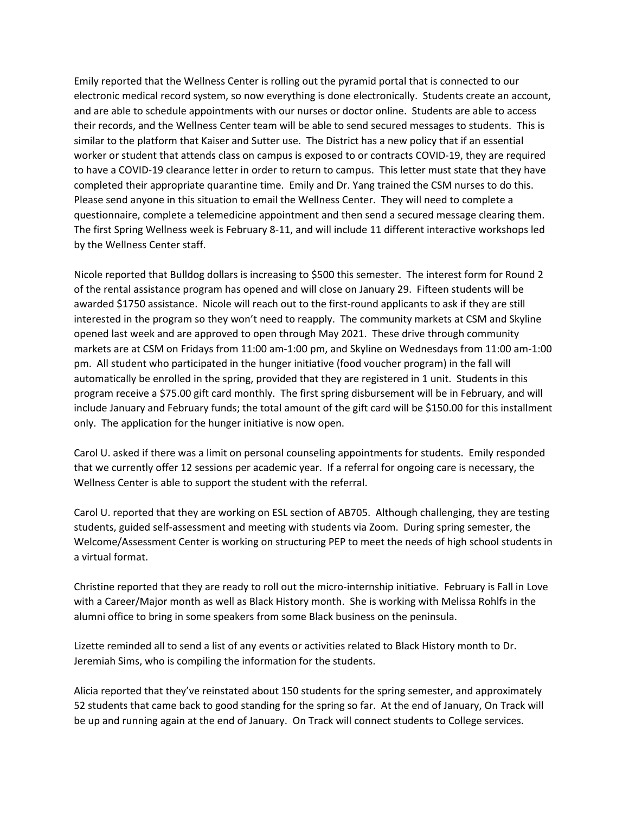Emily reported that the Wellness Center is rolling out the pyramid portal that is connected to our electronic medical record system, so now everything is done electronically. Students create an account, and are able to schedule appointments with our nurses or doctor online. Students are able to access their records, and the Wellness Center team will be able to send secured messages to students. This is similar to the platform that Kaiser and Sutter use. The District has a new policy that if an essential worker or student that attends class on campus is exposed to or contracts COVID-19, they are required to have a COVID-19 clearance letter in order to return to campus. This letter must state that they have completed their appropriate quarantine time. Emily and Dr. Yang trained the CSM nurses to do this. Please send anyone in this situation to email the Wellness Center. They will need to complete a questionnaire, complete a telemedicine appointment and then send a secured message clearing them. The first Spring Wellness week is February 8-11, and will include 11 different interactive workshops led by the Wellness Center staff.

Nicole reported that Bulldog dollars is increasing to \$500 this semester. The interest form for Round 2 of the rental assistance program has opened and will close on January 29. Fifteen students will be awarded \$1750 assistance. Nicole will reach out to the first-round applicants to ask if they are still interested in the program so they won't need to reapply. The community markets at CSM and Skyline opened last week and are approved to open through May 2021. These drive through community markets are at CSM on Fridays from 11:00 am-1:00 pm, and Skyline on Wednesdays from 11:00 am-1:00 pm. All student who participated in the hunger initiative (food voucher program) in the fall will automatically be enrolled in the spring, provided that they are registered in 1 unit. Students in this program receive a \$75.00 gift card monthly. The first spring disbursement will be in February, and will include January and February funds; the total amount of the gift card will be \$150.00 for this installment only. The application for the hunger initiative is now open.

Carol U. asked if there was a limit on personal counseling appointments for students. Emily responded that we currently offer 12 sessions per academic year. If a referral for ongoing care is necessary, the Wellness Center is able to support the student with the referral.

Carol U. reported that they are working on ESL section of AB705. Although challenging, they are testing students, guided self-assessment and meeting with students via Zoom. During spring semester, the Welcome/Assessment Center is working on structuring PEP to meet the needs of high school students in a virtual format.

Christine reported that they are ready to roll out the micro-internship initiative. February is Fall in Love with a Career/Major month as well as Black History month. She is working with Melissa Rohlfs in the alumni office to bring in some speakers from some Black business on the peninsula.

Lizette reminded all to send a list of any events or activities related to Black History month to Dr. Jeremiah Sims, who is compiling the information for the students.

Alicia reported that they've reinstated about 150 students for the spring semester, and approximately 52 students that came back to good standing for the spring so far. At the end of January, On Track will be up and running again at the end of January. On Track will connect students to College services.